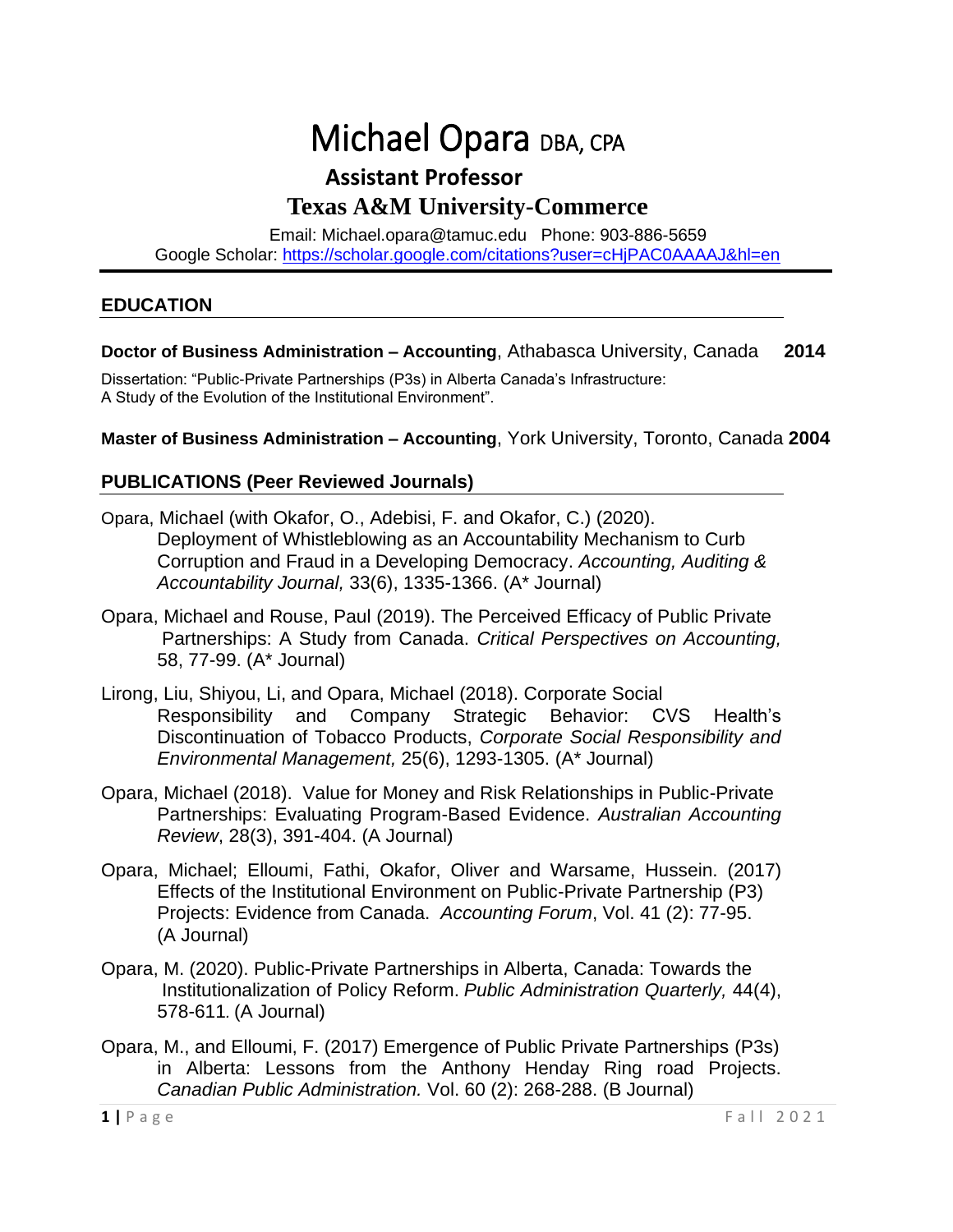# Michael Opara DBA, CPA

# **Assistant Professor Texas A&M University-Commerce**

Email: [Michael.opara@tamuc.edu](mailto:Michael.opara@tamuc.edu) Phone: 903-886-5659 Google Scholar:<https://scholar.google.com/citations?user=cHjPAC0AAAAJ&hl=en>

#### **EDUCATION**

#### **Doctor of Business Administration – Accounting**, Athabasca University, Canada **2014**

Dissertation: "Public-Private Partnerships (P3s) in Alberta Canada's Infrastructure: A Study of the Evolution of the Institutional Environment".

**Master of Business Administration – Accounting**, York University, Toronto, Canada **2004**

#### **PUBLICATIONS (Peer Reviewed Journals)**

- Opara, Michael (with Okafor, O., Adebisi, F. and Okafor, C.) (2020). Deployment of Whistleblowing as an Accountability Mechanism to Curb Corruption and Fraud in a Developing Democracy. *Accounting, Auditing & Accountability Journal,* 33(6), 1335-1366. (A\* Journal)
- Opara, Michael and Rouse, Paul (2019). The Perceived Efficacy of Public Private Partnerships: A Study from Canada. *Critical Perspectives on Accounting,* 58, 77-99. (A\* Journal)
- Lirong, Liu, Shiyou, Li, and Opara, Michael (2018). Corporate Social Responsibility and Company Strategic Behavior: CVS Health's Discontinuation of Tobacco Products, *Corporate Social Responsibility and Environmental Management,* 25(6), 1293-1305. (A\* Journal)
- Opara, Michael (2018). Value for Money and Risk Relationships in Public-Private Partnerships: Evaluating Program-Based Evidence. *Australian Accounting Review*, 28(3), 391-404. (A Journal)
- Opara, Michael; Elloumi, Fathi, Okafor, Oliver and Warsame, Hussein. (2017) Effects of the Institutional Environment on Public-Private Partnership (P3) Projects: Evidence from Canada. *Accounting Forum*, Vol. 41 (2): 77-95. (A Journal)
- Opara, M. (2020). Public-Private Partnerships in Alberta, Canada: Towards the Institutionalization of Policy Reform. *Public Administration Quarterly,* 44(4), 578-611*.* (A Journal)
- Opara, M., and Elloumi, F. (2017) Emergence of Public Private Partnerships (P3s) in Alberta: Lessons from the Anthony Henday Ring road Projects. *Canadian Public Administration.* Vol. 60 (2): 268-288. (B Journal)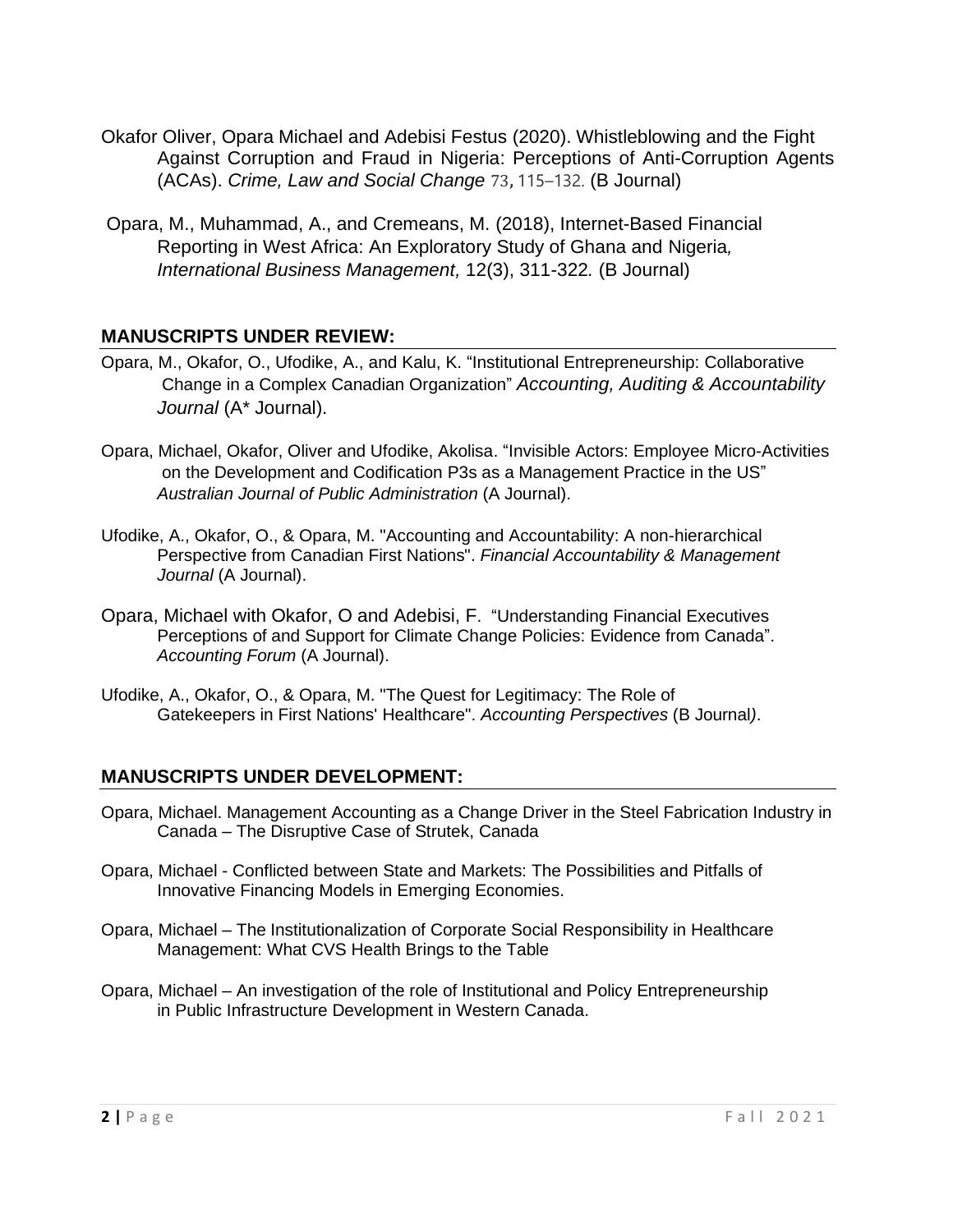- Okafor Oliver, Opara Michael and Adebisi Festus (2020). Whistleblowing and the Fight Against Corruption and Fraud in Nigeria: Perceptions of Anti-Corruption Agents (ACAs). *Crime, Law and Social Change* 73**,** 115–132. (B Journal)
- Opara, M., Muhammad, A., and Cremeans, M. (2018), Internet-Based Financial Reporting in West Africa: An Exploratory Study of Ghana and Nigeria*, International Business Management,* 12(3), 311-322*.* (B Journal)

# **MANUSCRIPTS UNDER REVIEW:**

- Opara, M., Okafor, O., Ufodike, A., and Kalu, K. "Institutional Entrepreneurship: Collaborative Change in a Complex Canadian Organization" *Accounting, Auditing & Accountability Journal* (A\* Journal).
- Opara, Michael, Okafor, Oliver and Ufodike, Akolisa. "Invisible Actors: Employee Micro-Activities on the Development and Codification P3s as a Management Practice in the US" *Australian Journal of Public Administration* (A Journal).
- Ufodike, A., Okafor, O., & Opara, M. "Accounting and Accountability: A non-hierarchical Perspective from Canadian First Nations". *Financial Accountability & Management Journal* (A Journal).
- Opara, Michael with Okafor, O and Adebisi, F. "Understanding Financial Executives Perceptions of and Support for Climate Change Policies: Evidence from Canada". *Accounting Forum* (A Journal).
- Ufodike, A., Okafor, O., & Opara, M. "The Quest for Legitimacy: The Role of Gatekeepers in First Nations' Healthcare". *Accounting Perspectives* (B Journal*)*.

# **MANUSCRIPTS UNDER DEVELOPMENT:**

- Opara, Michael. Management Accounting as a Change Driver in the Steel Fabrication Industry in Canada – The Disruptive Case of Strutek, Canada
- Opara, Michael Conflicted between State and Markets: The Possibilities and Pitfalls of Innovative Financing Models in Emerging Economies.
- Opara, Michael The Institutionalization of Corporate Social Responsibility in Healthcare Management: What CVS Health Brings to the Table
- Opara, Michael An investigation of the role of Institutional and Policy Entrepreneurship in Public Infrastructure Development in Western Canada.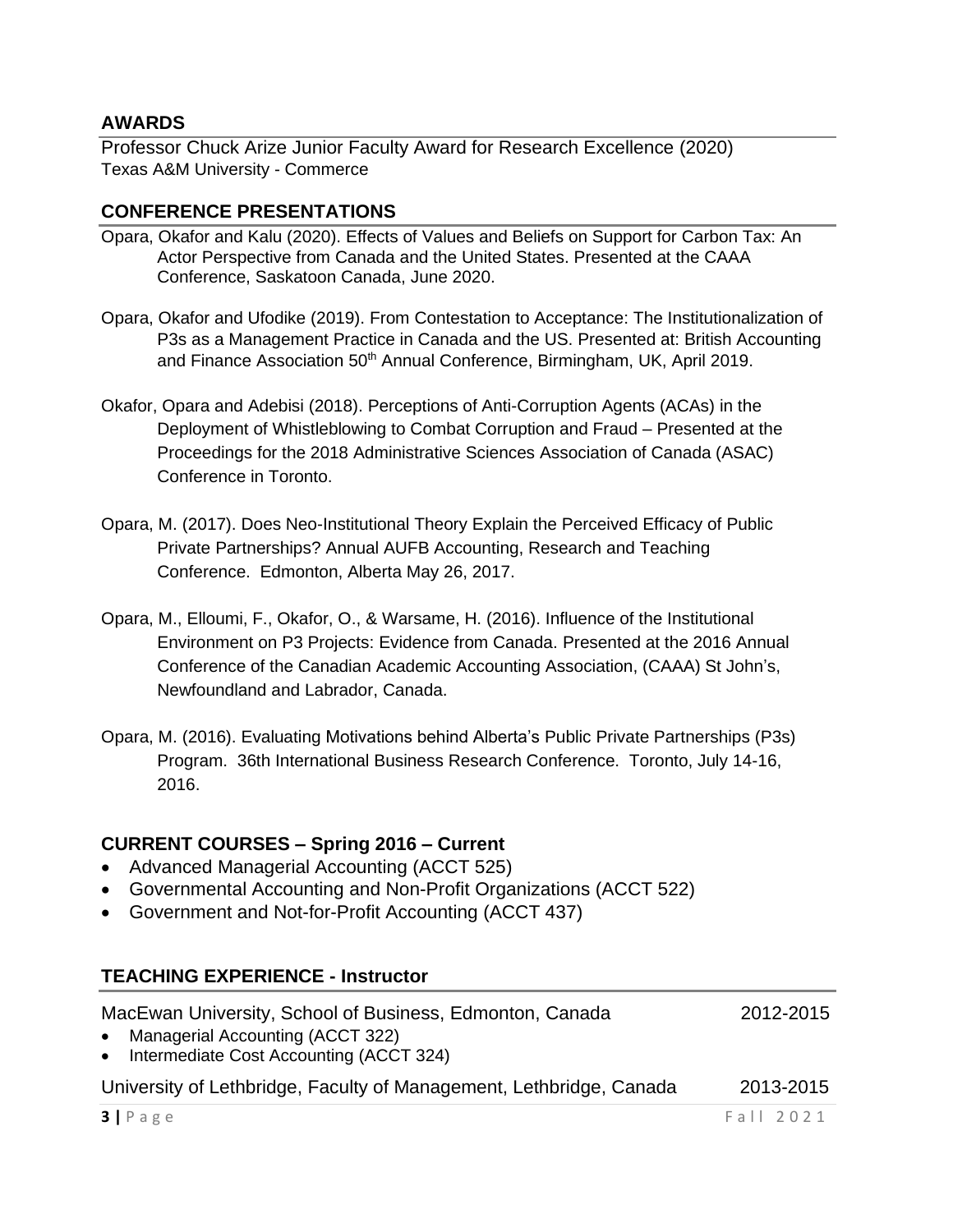#### **AWARDS**

Professor Chuck Arize Junior Faculty Award for Research Excellence (2020) Texas A&M University - Commerce

#### **CONFERENCE PRESENTATIONS**

- Opara, Okafor and Kalu (2020). Effects of Values and Beliefs on Support for Carbon Tax: An Actor Perspective from Canada and the United States. Presented at the CAAA Conference, Saskatoon Canada, June 2020.
- Opara, Okafor and Ufodike (2019). From Contestation to Acceptance: The Institutionalization of P3s as a Management Practice in Canada and the US. Presented at: British Accounting and Finance Association 50<sup>th</sup> Annual Conference, Birmingham, UK, April 2019.
- Okafor, Opara and Adebisi (2018). Perceptions of Anti-Corruption Agents (ACAs) in the Deployment of Whistleblowing to Combat Corruption and Fraud – Presented at the Proceedings for the 2018 Administrative Sciences Association of Canada (ASAC) Conference in Toronto.
- Opara, M. (2017). Does Neo-Institutional Theory Explain the Perceived Efficacy of Public Private Partnerships? Annual AUFB Accounting, Research and Teaching Conference. Edmonton, Alberta May 26, 2017.
- Opara, M., Elloumi, F., Okafor, O., & Warsame, H. (2016). Influence of the Institutional Environment on P3 Projects: Evidence from Canada. Presented at the 2016 Annual Conference of the Canadian Academic Accounting Association, (CAAA) St John's, Newfoundland and Labrador, Canada.
- Opara, M. (2016). Evaluating Motivations behind Alberta's Public Private Partnerships (P3s) Program. 36th International Business Research Conference. Toronto, July 14-16, 2016.

# **CURRENT COURSES – Spring 2016 – Current**

- Advanced Managerial Accounting (ACCT 525)
- Governmental Accounting and Non-Profit Organizations (ACCT 522)
- Government and Not-for-Profit Accounting (ACCT 437)

# **TEACHING EXPERIENCE - Instructor**

| MacEwan University, School of Business, Edmonton, Canada                        | 2012-2015 |
|---------------------------------------------------------------------------------|-----------|
| • Managerial Accounting (ACCT 322)<br>• Intermediate Cost Accounting (ACCT 324) |           |
| University of Lethbridge, Faculty of Management, Lethbridge, Canada             | 2013-2015 |
| 3 Page                                                                          | Fall 2021 |